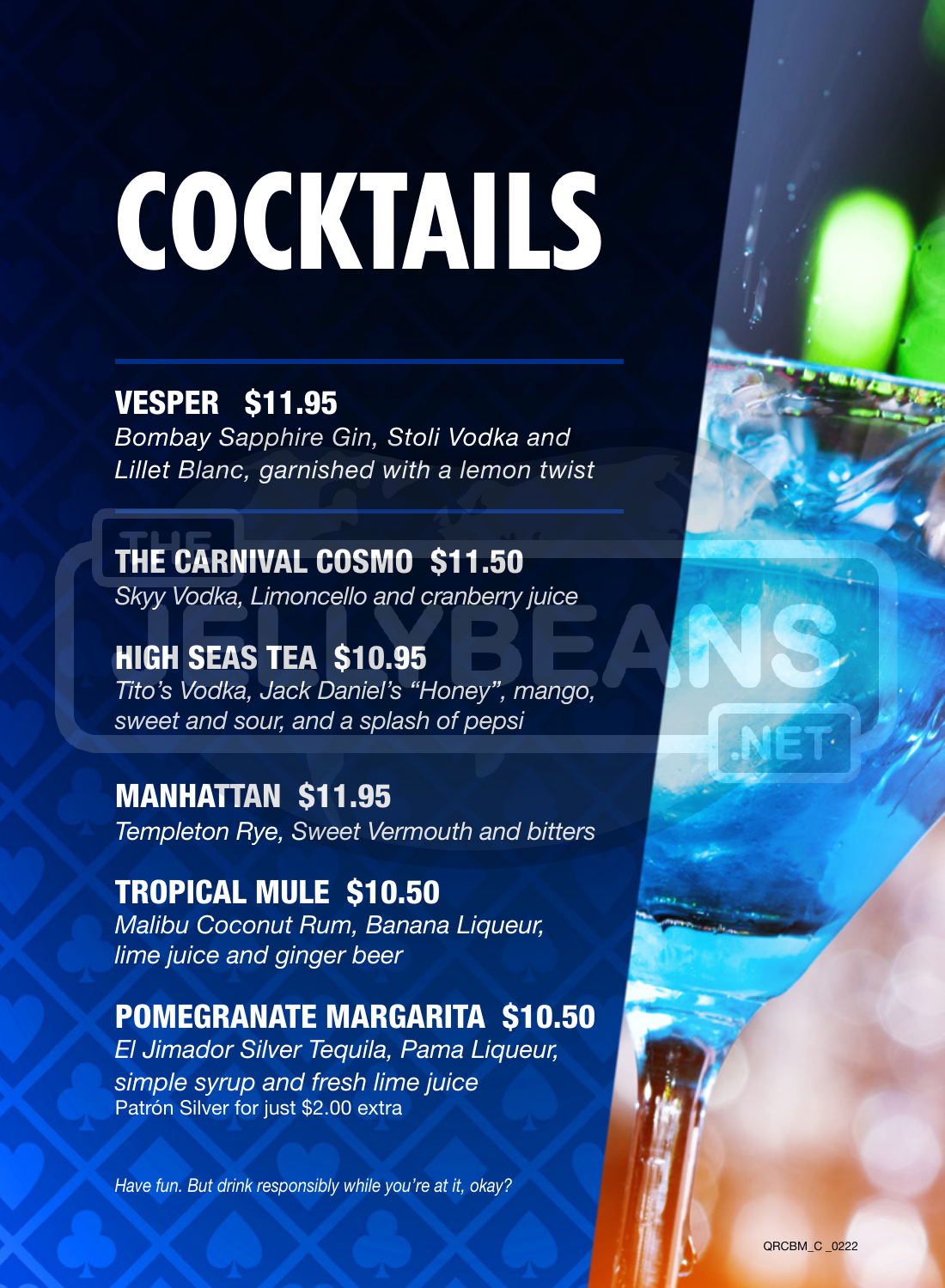# COCKTAILS

#### VESPER \$11.95

*Bombay Sapphire Gin, Stoli Vodka and Lillet Blanc, garnished with a lemon twist*

THE CARNIVAL COSMO \$11.50 *Skyy Vodka, Limoncello and cranberry juice*

HIGH SEAS TEA \$10.95 *Tito's Vodka, Jack Daniel's "Honey", mango, sweet and sour, and a splash of pepsi*

MANHATTAN \$11.95 *Templeton Rye, Sweet Vermouth and bitters*

TROPICAL MULE \$10.50 *Malibu Coconut Rum, Banana Liqueur, lime juice and ginger beer* 

#### POMEGRANATE MARGARITA \$10.50

*El Jimador Silver Tequila, Pama Liqueur, simple syrup and fresh lime juice* Patrón Silver for just \$2.00 extra

*Have fun. But drink responsibly while you're at it, okay?*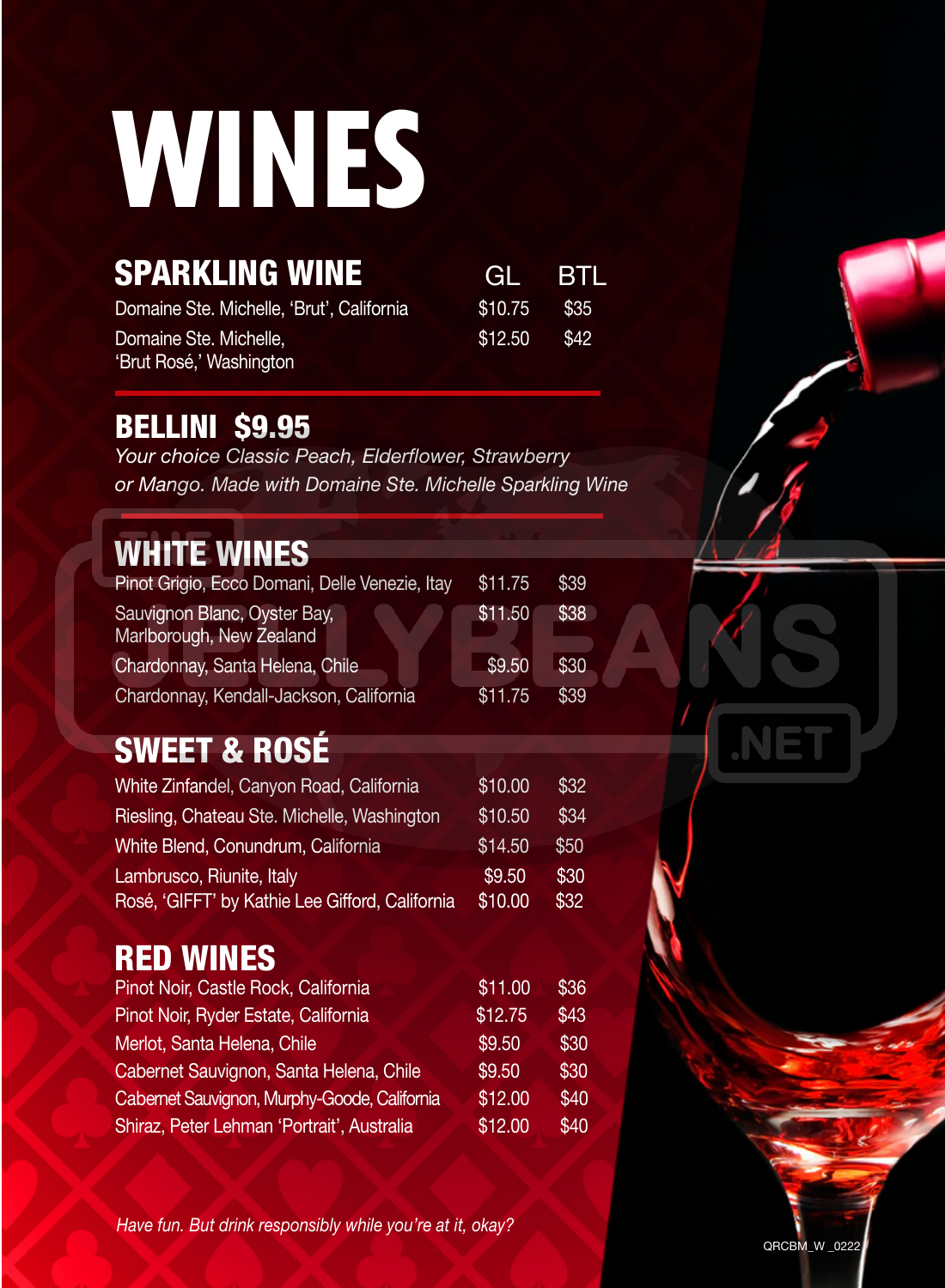### **WINES**

| <b>SPARKLING WINE</b>                     | GL BTL         |  |
|-------------------------------------------|----------------|--|
| Domaine Ste. Michelle. 'Brut'. California | $$10.75$ \$35  |  |
| Domaine Ste. Michelle.                    | $$12.50$ $$42$ |  |
| 'Brut Rosé,' Washington                   |                |  |

#### BELLINI \$9.95

*Your choice Classic Peach, Elderflower, Strawberry or Mango. Made with Domaine Ste. Michelle Sparkling Wine*

#### WHITE WINES

| Pinot Grigio, Ecco Domani, Delle Venezie, Itay           | \$11.75 | \$39 |
|----------------------------------------------------------|---------|------|
| Sauvignon Blanc, Oyster Bay,<br>Marlborough, New Zealand | \$11.50 | \$38 |
| Chardonnay, Santa Helena, Chile                          | \$9.50  | \$30 |
| Chardonnay, Kendall-Jackson, California                  | \$11.75 | \$39 |

#### SWEET & ROSÉ

| White Zinfandel, Canyon Road, California                                     | \$10.00           | \$32         |
|------------------------------------------------------------------------------|-------------------|--------------|
| Riesling, Chateau Ste. Michelle, Washington                                  | \$10.50           | \$34         |
| White Blend, Conundrum, California                                           | \$14.50           | \$50         |
| Lambrusco, Riunite, Italy<br>Rosé, 'GIFFT' by Kathie Lee Gifford, California | \$9.50<br>\$10.00 | \$30<br>\$32 |

#### RED WINES

| Pinot Noir, Castle Rock, California          | \$11.00 | \$36 |
|----------------------------------------------|---------|------|
| Pinot Noir, Ryder Estate, California         | \$12.75 | \$43 |
| Merlot, Santa Helena, Chile                  | \$9.50  | \$30 |
| Cabernet Sauvignon, Santa Helena, Chile      | \$9.50  | \$30 |
| Cabernet Sauvignon, Murphy-Goode, California | \$12.00 | \$40 |
| Shiraz, Peter Lehman 'Portrait', Australia   | \$12.00 | \$40 |

*Have fun. But drink responsibly while you're at it, okay?*

QRCBM\_W \_0222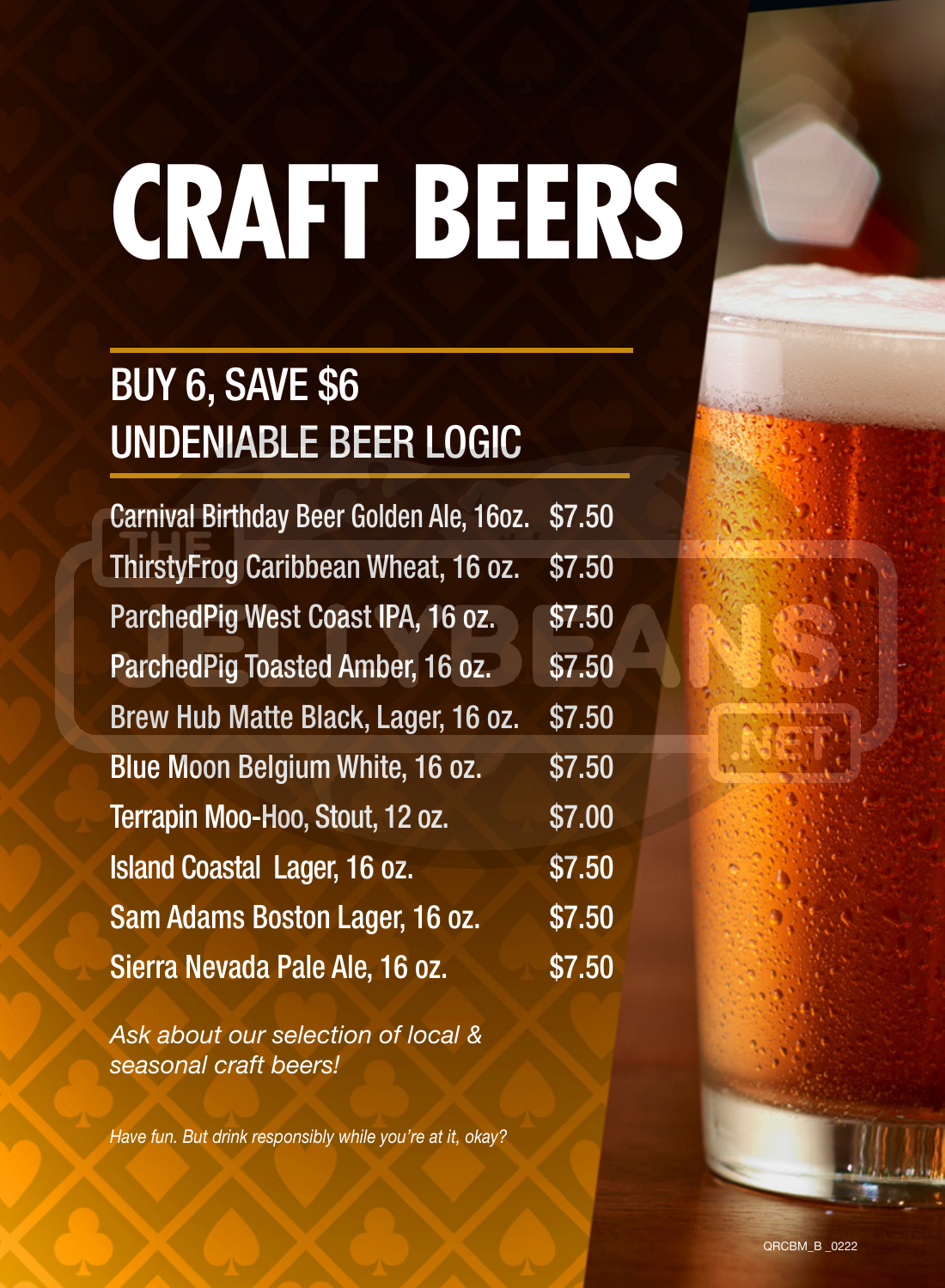# CRAFT BEERS

### BUY 6, SAVE \$6 UNDENIABLE BEER LOGIC

Carnival Birthday Beer Golden Ale, 16oz. \$7.50 ThirstyFrog Caribbean Wheat, 16 oz. \$7.50 ParchedPig West Coast IPA, 16 oz. \$7.50 ParchedPig Toasted Amber, 16 oz. \$7.50 Brew Hub Matte Black, Lager, 16 oz. \$7.50 Blue Moon Belgium White, 16 oz. \$7.50 Terrapin Moo-Hoo, Stout, 12 oz. \$7.00 Island Coastal Lager, 16 oz. \$7.50 Sam Adams Boston Lager, 16 oz. \$7.50 Sierra Nevada Pale Ale, 16 oz. \$7.50

*Ask about our selection of local & seasonal craft beers!*

*Have fun. But drink responsibly while you're at it, okay?*